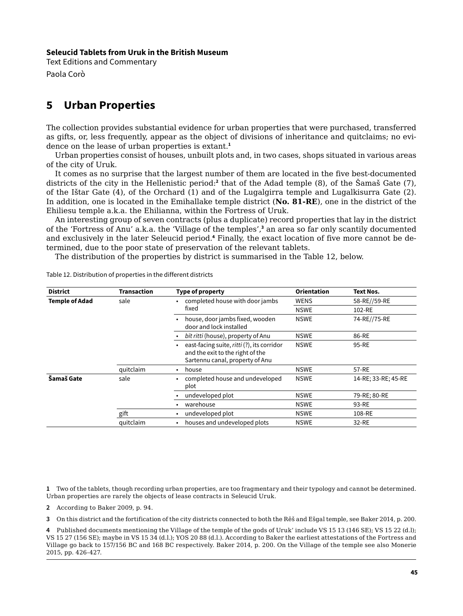### **Seleucid Tablets from Uruk in the British Museum**

Text Editions and Commentary Paola Corò

# **5 Urban Properties**

The collection provides substantial evidence for urban properties that were purchased, transferred as gifts, or, less frequently, appear as the object of divisions of inheritance and quitclaims; no evidence on the lease of urban properties is extant.**<sup>1</sup>**

Urban properties consist of houses, unbuilt plots and, in two cases, shops situated in various areas of the city of Uruk.

It comes as no surprise that the largest number of them are located in the five best-documented districts of the city in the Hellenistic period:**<sup>2</sup>** that of the Adad temple (8), of the Šamaš Gate (7), of the Ištar Gate (4), of the Orchard (1) and of the Lugalgirra temple and Lugalkisurra Gate (2). In addition, one is located in the Emihallake temple district (**No. 81-RE**), one in the district of the Ehiliesu temple a.k.a. the Ehilianna, within the Fortress of Uruk.

An interesting group of seven contracts (plus a duplicate) record properties that lay in the district of the 'Fortress of Anu' a.k.a. the 'Village of the temples',**<sup>3</sup>** an area so far only scantily documented and exclusively in the later Seleucid period.**<sup>4</sup>** Finally, the exact location of five more cannot be determined, due to the poor state of preservation of the relevant tablets.

The distribution of the properties by district is summarised in the Table 12, below.

| <b>District</b>       | <b>Transaction</b> | Type of property                                                                                                  | <b>Orientation</b> | <b>Text Nos.</b>    |
|-----------------------|--------------------|-------------------------------------------------------------------------------------------------------------------|--------------------|---------------------|
| <b>Temple of Adad</b> | sale               | completed house with door jambs                                                                                   | <b>WENS</b>        | 58-RE//59-RE        |
|                       |                    | fixed                                                                                                             | <b>NSWE</b>        | 102-RE              |
|                       |                    | house, door jambs fixed, wooden<br>door and lock installed                                                        | <b>NSWE</b>        | 74-RE//75-RE        |
|                       |                    | <i>bīt ritti</i> (house), property of Anu                                                                         | <b>NSWE</b>        | 86-RE               |
|                       |                    | east-facing suite, ritti (?), its corridor<br>and the exit to the right of the<br>Sartennu canal, property of Anu | <b>NSWE</b>        | 95-RE               |
|                       | quitclaim          | house<br>$\bullet$                                                                                                | <b>NSWE</b>        | 57-RE               |
| Šamaš Gate            | sale               | completed house and undeveloped<br>plot                                                                           | <b>NSWE</b>        | 14-RE; 33-RE; 45-RE |
|                       |                    | undeveloped plot                                                                                                  | <b>NSWE</b>        | 79-RE; 80-RE        |
|                       |                    | warehouse                                                                                                         | <b>NSWE</b>        | 93-RE               |
|                       | gift               | undeveloped plot<br>٠                                                                                             | <b>NSWE</b>        | 108-RE              |
|                       | quitclaim          | houses and undeveloped plots<br>٠                                                                                 | <b>NSWE</b>        | 32-RE               |

Table 12. Distribution of properties in the different districts

**1** Two of the tablets, though recording urban properties, are too fragmentary and their typology and cannot be determined. Urban properties are rarely the objects of lease contracts in Seleucid Uruk.

**2** According to Baker 2009, p. 94.

**3** On this district and the fortification of the city districts connected to both the Rēš and Ešgal temple, see Baker 2014, p. 200.

**4** Published documents mentioning the Village of the temple of the gods of Uruk' include VS 15 13 (146 SE); VS 15 22 (d.l); VS 15 27 (156 SE); maybe in VS 15 34 (d.l.); YOS 20 88 (d.l.). According to Baker the earliest attestations of the Fortress and Village go back to 157/156 BC and 168 BC respectively. Baker 2014, p. 200. On the Village of the temple see also Monerie 2015, pp. 426-427.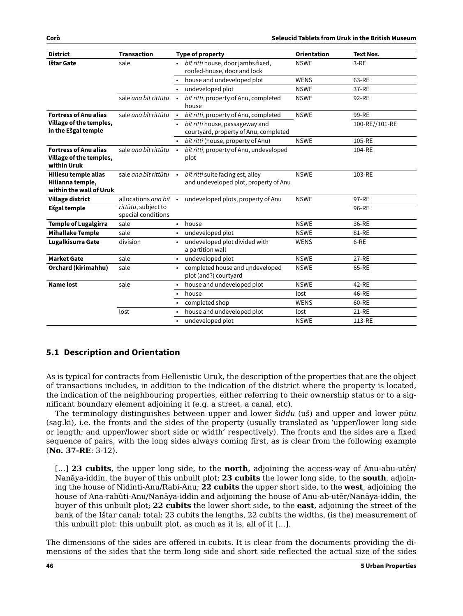| <b>District</b>                                                        | <b>Transaction</b>                        | Type of property                                                               | <b>Orientation</b> | <b>Text Nos.</b> |
|------------------------------------------------------------------------|-------------------------------------------|--------------------------------------------------------------------------------|--------------------|------------------|
| Ištar Gate                                                             | sale                                      | bīt ritti house, door jambs fixed,<br>$\bullet$<br>roofed-house, door and lock | <b>NSWE</b>        | $3-RE$           |
|                                                                        |                                           | house and undeveloped plot                                                     | <b>WENS</b>        | 63-RE            |
|                                                                        |                                           | undeveloped plot                                                               | <b>NSWE</b>        | 37-RE            |
|                                                                        | sale ana bīt rittūtu                      | bīt ritti, property of Anu, completed<br>$\bullet$<br>house                    | <b>NSWE</b>        | 92-RE            |
| <b>Fortress of Anu alias</b>                                           | sale ana bīt rittūtu                      | bīt ritti, property of Anu, completed<br>$\bullet$                             | <b>NSWE</b>        | 99-RE            |
| Village of the temples,<br>in the Ešgal temple                         |                                           | bīt ritti house, passageway and<br>courtyard, property of Anu, completed       |                    | 100-RE//101-RE   |
|                                                                        |                                           | bīt ritti (house, property of Anu)                                             | <b>NSWE</b>        | 105-RE           |
| <b>Fortress of Anu alias</b><br>Village of the temples,<br>within Uruk | sale ana bīt rittūtu                      | bīt ritti, property of Anu, undeveloped<br>$\bullet$<br>plot                   |                    | 104-RE           |
| Hiliesu temple alias<br>Hilianna temple,<br>within the wall of Uruk    | sale ana bīt rittūtu $\cdot$              | bīt ritti suite facing est, alley<br>and undeveloped plot, property of Anu     | <b>NSWE</b>        | 103-RE           |
| <b>Village district</b>                                                | allocations ana bit .                     | undeveloped plots, property of Anu                                             | <b>NSWE</b>        | 97-RE            |
| Ešgal temple                                                           | rittūtu, subject to<br>special conditions |                                                                                |                    | 96-RE            |
| <b>Temple of Lugalgirra</b>                                            | sale                                      | house<br>$\bullet$                                                             | <b>NSWE</b>        | 36-RE            |
| <b>Mihallake Temple</b>                                                | sale                                      | undeveloped plot<br>$\bullet$                                                  | <b>NSWE</b>        | 81-RE            |
| Lugalkisurra Gate                                                      | division                                  | undeveloped plot divided with<br>a partition wall                              | <b>WENS</b>        | 6-RE             |
| <b>Market Gate</b>                                                     | sale                                      | undeveloped plot<br>$\bullet$                                                  | <b>NSWE</b>        | 27-RE            |
| Orchard (kirimahhu)                                                    | sale                                      | completed house and undeveloped<br>$\bullet$<br>plot (and?) courtyard          | <b>NSWE</b>        | 65-RE            |
| <b>Name lost</b>                                                       | sale                                      | house and undeveloped plot<br>$\bullet$                                        | <b>NSWE</b>        | 42-RE            |
|                                                                        |                                           | house<br>$\bullet$                                                             | lost               | 46-RE            |
|                                                                        |                                           | completed shop<br>$\bullet$                                                    | <b>WENS</b>        | 60-RE            |
|                                                                        | lost                                      | house and undeveloped plot<br>$\bullet$                                        | lost               | 21-RE            |
|                                                                        |                                           | undeveloped plot<br>$\bullet$                                                  | <b>NSWE</b>        | 113-RE           |

# **5.1 Description and Orientation**

As is typical for contracts from Hellenistic Uruk, the description of the properties that are the object of transactions includes, in addition to the indication of the district where the property is located, the indication of the neighbouring properties, either referring to their ownership status or to a significant boundary element adjoining it (e.g. a street, a canal, etc).

The terminology distinguishes between upper and lower *šiddu* (uš) and upper and lower *pūtu* (sag.ki), i.e. the fronts and the sides of the property (usually translated as 'upper/lower long side or length; and upper/lower short side or width' respectively). The fronts and the sides are a fixed sequence of pairs, with the long sides always coming first, as is clear from the following example (**No. 37-RE**: 3-12).

[…] **23 cubits**, the upper long side, to the **north**, adjoining the access-way of Anu-abu-utēr/ Nanāya-iddin, the buyer of this unbuilt plot; **23 cubits** the lower long side, to the **south**, adjoining the house of Nidinti-Anu/Rabi-Anu; **22 cubits** the upper short side, to the **west**, adjoining the house of Ana-rabûti-Anu/Nanāya-iddin and adjoining the house of Anu-ab-utēr/Nanāya-iddin, the buyer of this unbuilt plot; **22 cubits** the lower short side, to the **east**, adjoining the street of the bank of the Ištar canal; total: 23 cubits the lengths, 22 cubits the widths, (is the) measurement of this unbuilt plot: this unbuilt plot, as much as it is, all of it […].

The dimensions of the sides are offered in cubits. It is clear from the documents providing the dimensions of the sides that the term long side and short side reflected the actual size of the sides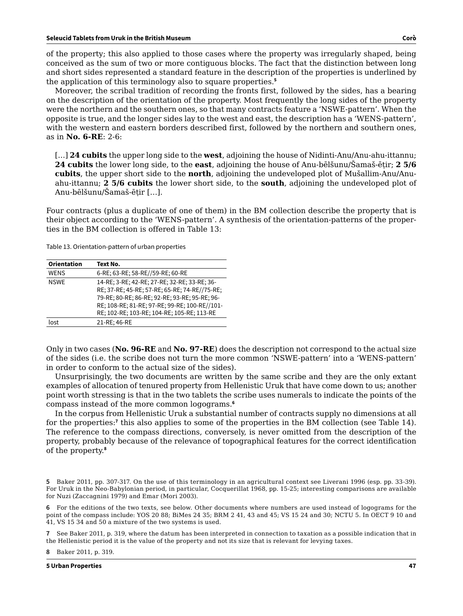of the property; this also applied to those cases where the property was irregularly shaped, being conceived as the sum of two or more contiguous blocks. The fact that the distinction between long and short sides represented a standard feature in the description of the properties is underlined by the application of this terminology also to square properties.**<sup>5</sup>**

Moreover, the scribal tradition of recording the fronts first, followed by the sides, has a bearing on the description of the orientation of the property. Most frequently the long sides of the property were the northern and the southern ones, so that many contracts feature a 'NSWE-pattern'. When the opposite is true, and the longer sides lay to the west and east, the description has a 'WENS-pattern', with the western and eastern borders described first, followed by the northern and southern ones, as in **No. 6-RE**: 2-6:

[…] **24 cubits** the upper long side to the **west**, adjoining the house of Nidinti-Anu/Anu-ahu-ittannu; **24 cubits** the lower long side, to the **east**, adjoining the house of Anu-bēlšunu/Šamaš-ēṭir; **2 5/6 cubits**, the upper short side to the **north**, adjoining the undeveloped plot of Mušallim-Anu/Anuahu-ittannu; **2 5/6 cubits** the lower short side, to the **south**, adjoining the undeveloped plot of Anu-bēlšunu/Šamaš-ēṭir […].

Four contracts (plus a duplicate of one of them) in the BM collection describe the property that is their object according to the 'WENS-pattern'. A synthesis of the orientation-patterns of the properties in the BM collection is offered in Table 13:

Table 13. Orientation-pattern of urban properties

| <b>Orientation</b> | Text No.                                                                                      |
|--------------------|-----------------------------------------------------------------------------------------------|
| <b>WENS</b>        | 6-RE; 63-RE; 58-RE//59-RE; 60-RE                                                              |
| <b>NSWE</b>        | 14-RE; 3-RE; 42-RE; 27-RE; 32-RE; 33-RE; 36-<br>RE; 37-RE; 45-RE; 57-RE; 65-RE; 74-RE//75-RE; |
|                    | 79-RE; 80-RE; 86-RE; 92-RE; 93-RE; 95-RE; 96-                                                 |
|                    | RE; 108-RE; 81-RE; 97-RE; 99-RE; 100-RE//101-                                                 |
|                    | RE; 102-RE; 103-RE; 104-RE; 105-RE; 113-RE                                                    |
| lost               | 21-RE; 46-RE                                                                                  |

Only in two cases (**No. 96-RE** and **No. 97-RE**) does the description not correspond to the actual size of the sides (i.e. the scribe does not turn the more common 'NSWE-pattern' into a 'WENS-pattern' in order to conform to the actual size of the sides).

Unsurprisingly, the two documents are written by the same scribe and they are the only extant examples of allocation of tenured property from Hellenistic Uruk that have come down to us; another point worth stressing is that in the two tablets the scribe uses numerals to indicate the points of the compass instead of the more common logograms.**<sup>6</sup>**

In the corpus from Hellenistic Uruk a substantial number of contracts supply no dimensions at all for the properties:**<sup>7</sup>** this also applies to some of the properties in the BM collection (see Table 14). The reference to the compass directions, conversely, is never omitted from the description of the property, probably because of the relevance of topographical features for the correct identification of the property.**<sup>8</sup>**

**6** For the editions of the two texts, see below. Other documents where numbers are used instead of logograms for the point of the compass include: YOS 20 88; BiMes 24 35; BRM 2 41, 43 and 45; VS 15 24 and 30; NCTU 5. In OECT 9 10 and 41, VS 15 34 and 50 a mixture of the two systems is used.

**7** See Baker 2011, p. 319, where the datum has been interpreted in connection to taxation as a possible indication that in the Hellenistic period it is the value of the property and not its size that is relevant for levying taxes.

**8** Baker 2011, p. 319.

**5 Urban Properties 47**

**<sup>5</sup>** Baker 2011, pp. 307-317. On the use of this terminology in an agricultural context see Liverani 1996 (esp. pp. 33-39). For Uruk in the Neo-Babylonian period, in particular, Cocquerillat 1968, pp. 15-25; interesting comparisons are available for Nuzi (Zaccagnini 1979) and Emar (Mori 2003).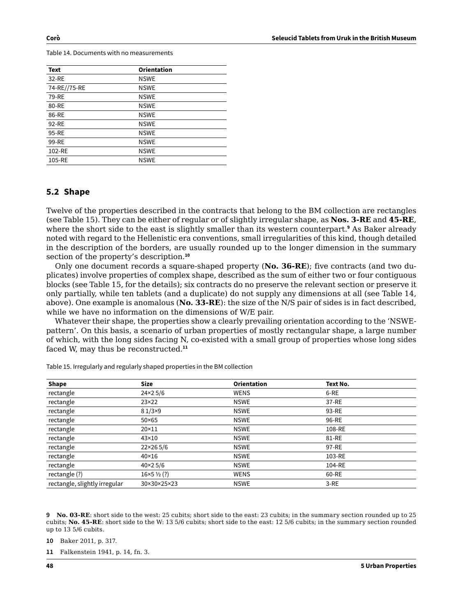| Text         | <b>Orientation</b> |  |
|--------------|--------------------|--|
| 32-RE        | <b>NSWE</b>        |  |
| 74-RE//75-RE | <b>NSWE</b>        |  |
| 79-RE        | <b>NSWE</b>        |  |
| 80-RE        | <b>NSWE</b>        |  |
| 86-RE        | <b>NSWE</b>        |  |
| 92-RE        | <b>NSWE</b>        |  |
| 95-RE        | <b>NSWE</b>        |  |
| 99-RE        | <b>NSWE</b>        |  |
| 102-RE       | <b>NSWE</b>        |  |
| 105-RE       | <b>NSWE</b>        |  |
|              |                    |  |

Table 14. Documents with no measurements

## **5.2 Shape**

Twelve of the properties described in the contracts that belong to the BM collection are rectangles (see Table 15). They can be either of regular or of slightly irregular shape, as **Nos. 3-RE** and **45-RE**, where the short side to the east is slightly smaller than its western counterpart.**<sup>9</sup>** As Baker already noted with regard to the Hellenistic era conventions, small irregularities of this kind, though detailed in the description of the borders, are usually rounded up to the longer dimension in the summary section of the property's description.**<sup>10</sup>**

Only one document records a square-shaped property (**No. 36-RE**); five contracts (and two duplicates) involve properties of complex shape, described as the sum of either two or four contiguous blocks (see Table 15, for the details); six contracts do no preserve the relevant section or preserve it only partially, while ten tablets (and a duplicate) do not supply any dimensions at all (see Table 14, above). One example is anomalous (**No. 33-RE**): the size of the N/S pair of sides is in fact described, while we have no information on the dimensions of W/E pair.

Whatever their shape, the properties show a clearly prevailing orientation according to the 'NSWEpattern'. On this basis, a scenario of urban properties of mostly rectangular shape, a large number of which, with the long sides facing N, co-existed with a small group of properties whose long sides faced W, may thus be reconstructed.**<sup>11</sup>**

| <b>Shape</b>                  | <b>Size</b>                | <b>Orientation</b> | Text No. |  |
|-------------------------------|----------------------------|--------------------|----------|--|
| rectangle                     | $24 \times 25/6$           | <b>WENS</b>        | 6-RE     |  |
| rectangle                     | $23\times22$               | <b>NSWE</b>        | 37-RE    |  |
| rectangle                     | $81/3\times9$              | <b>NSWE</b>        | 93-RE    |  |
| rectangle                     | $50\times 65$              | <b>NSWE</b>        | 96-RE    |  |
| rectangle                     | $20 \times 11$             | <b>NSWE</b>        | 108-RE   |  |
| rectangle                     | $43\times10$               | <b>NSWE</b>        | 81-RE    |  |
| rectangle                     | 22×265/6                   | <b>NSWE</b>        | 97-RE    |  |
| rectangle                     | $40\times16$               | <b>NSWE</b>        | 103-RE   |  |
| rectangle                     | $40 \times 25/6$           | <b>NSWE</b>        | 104-RE   |  |
| rectangle (?)                 | $16\times5\frac{1}{2}$ (?) | <b>WENS</b>        | 60-RE    |  |
| rectangle, slightly irregular | 30×30×25×23                | <b>NSWE</b>        | $3 - RE$ |  |

Table 15. Irregularly and regularly shaped properties in the BM collection

**9 No. 03-RE**: short side to the west: 25 cubits; short side to the east: 23 cubits; in the summary section rounded up to 25 cubits; **No. 45-RE**: short side to the W: 13 5/6 cubits; short side to the east: 12 5/6 cubits; in the summary section rounded up to 13 5/6 cubits.

- **10** Baker 2011, p. 317.
- **11** Falkenstein 1941, p. 14, fn. 3.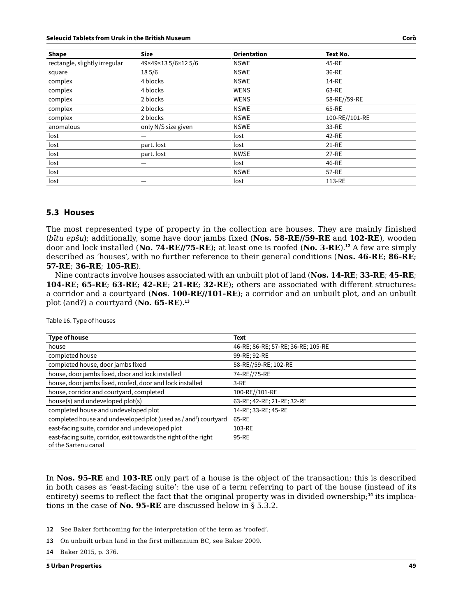#### **Seleucid Tablets from Uruk in the British Museum Corò**

| <b>Shape</b>                  | <b>Size</b>         | <b>Orientation</b> | Text No.       |
|-------------------------------|---------------------|--------------------|----------------|
| rectangle, slightly irregular | 49×49×135/6×125/6   | <b>NSWE</b>        | 45-RE          |
| square                        | 185/6               | <b>NSWE</b>        | 36-RE          |
| complex                       | 4 blocks            | <b>NSWE</b>        | 14-RE          |
| complex                       | 4 blocks            | <b>WENS</b>        | 63-RE          |
| complex                       | 2 blocks            | <b>WENS</b>        | 58-RE//59-RE   |
| complex                       | 2 blocks            | <b>NSWE</b>        | 65-RE          |
| complex                       | 2 blocks            | <b>NSWE</b>        | 100-RE//101-RE |
| anomalous                     | only N/S size given | <b>NSWE</b>        | 33-RE          |
| lost                          |                     | lost               | 42-RE          |
| lost                          | part. lost          | lost               | 21-RE          |
| lost                          | part. lost          | <b>NWSE</b>        | 27-RE          |
| lost                          |                     | lost               | 46-RE          |
| lost                          |                     | <b>NSWE</b>        | 57-RE          |
| lost                          |                     | lost               | 113-RE         |

#### **5.3 Houses**

The most represented type of property in the collection are houses. They are mainly finished (*bītu epšu*); additionally, some have door jambs fixed (**Nos. 58-RE//59-RE** and **102-RE**), wooden door and lock installed (**No. 74-RE//75-RE**); at least one is roofed (**No. 3-RE**).**<sup>12</sup>** A few are simply described as 'houses', with no further reference to their general conditions (**Nos. 46-RE**; **86-RE**; **57-RE**; **36-RE**; **105-RE**).

Nine contracts involve houses associated with an unbuilt plot of land (**Nos. 14-RE**; **33-RE**; **45-RE**; **104-RE**; **65-RE**; **63-RE**; **42-RE**; **21-RE**; **32-RE**); others are associated with different structures: a corridor and a courtyard (**Nos**. **100-RE//101-RE**); a corridor and an unbuilt plot, and an unbuilt plot (and?) a courtyard (**No. 65-RE**).**<sup>13</sup>**

| <b>Type of house</b>                                                                     | <b>Text</b>                        |
|------------------------------------------------------------------------------------------|------------------------------------|
| house                                                                                    | 46-RE; 86-RE; 57-RE; 36-RE; 105-RE |
| completed house                                                                          | 99-RE; 92-RE                       |
| completed house, door jambs fixed                                                        | 58-RE//59-RE; 102-RE               |
| house, door jambs fixed, door and lock installed                                         | 74-RE//75-RE                       |
| house, door jambs fixed, roofed, door and lock installed                                 | $3-RE$                             |
| house, corridor and courtyard, completed                                                 | 100-RE//101-RE                     |
| house(s) and undeveloped plot(s)                                                         | 63-RE; 42-RE; 21-RE; 32-RE         |
| completed house and undeveloped plot                                                     | 14-RE; 33-RE; 45-RE                |
| completed house and undeveloped plot (used as / and <sup>2</sup> ) courtyard             | 65-RE                              |
| east-facing suite, corridor and undeveloped plot                                         | 103-RE                             |
| east-facing suite, corridor, exit towards the right of the right<br>of the Sartenu canal | 95-RE                              |

Table 16. Type of houses

In **Nos. 95-RE** and **103-RE** only part of a house is the object of the transaction; this is described in both cases as 'east-facing suite': the use of a term referring to part of the house (instead of its entirety) seems to reflect the fact that the original property was in divided ownership;**14** its implications in the case of **No. 95-RE** are discussed below in § 5.3.2.

**12** See Baker forthcoming for the interpretation of the term as 'roofed'.

**13** On unbuilt urban land in the first millennium BC, see Baker 2009.

**14** Baker 2015, p. 376.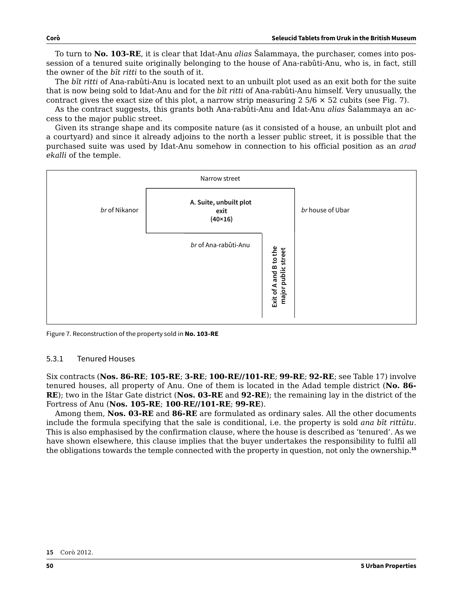To turn to **No. 103-RE**, it is clear that Idat-Anu *alias* Šalammaya, the purchaser, comes into possession of a tenured suite originally belonging to the house of Ana-rabûti-Anu, who is, in fact, still the owner of the *bīt ritti* to the south of it.

The *bīt ritti* of Ana-rabûti-Anu is located next to an unbuilt plot used as an exit both for the suite that is now being sold to Idat-Anu and for the *bīt ritti* of Ana-rabûti-Anu himself. Very unusually, the contract gives the exact size of this plot, a narrow strip measuring  $2\frac{5}{6} \times 52$  cubits (see Fig. 7).

As the contract suggests, this grants both Ana-rabûti-Anu and Idat-Anu *alias* Šalammaya an access to the major public street.

Given its strange shape and its composite nature (as it consisted of a house, an unbuilt plot and a courtyard) and since it already adjoins to the north a lesser public street, it is possible that the purchased suite was used by Idat-Anu somehow in connection to his official position as an *arad ekalli* of the temple.



Figure 7. Reconstruction of the property sold in **No. 103-RE**

#### 5.3.1 Tenured Houses

Six contracts (**Nos. 86-RE**; **105-RE**; **3-RE**; **100-RE//101-RE**; **99-RE**; **92-RE**; see Table 17) involve tenured houses, all property of Anu. One of them is located in the Adad temple district (**No. 86- RE**); two in the Ištar Gate district (**Nos. 03-RE** and **92-RE**); the remaining lay in the district of the Fortress of Anu (**Nos. 105-RE**; **100**-**RE//101-RE**; **99-RE**).

Among them, **Nos. 03-RE** and **86-RE** are formulated as ordinary sales. All the other documents include the formula specifying that the sale is conditional, i.e. the property is sold *ana bīt rittūtu*. This is also emphasised by the confirmation clause, where the house is described as 'tenured'. As we have shown elsewhere, this clause implies that the buyer undertakes the responsibility to fulfil all the obligations towards the temple connected with the property in question, not only the ownership.**<sup>15</sup>**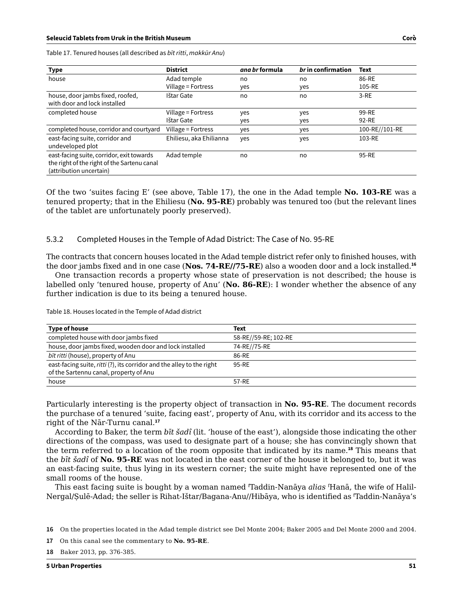Table 17. Tenured houses (all described as *bīt ritti*, *makkūr Anu*)

| Type                                                                                                                | <b>District</b>         | ana br formula | br in confirmation | <b>Text</b>    |
|---------------------------------------------------------------------------------------------------------------------|-------------------------|----------------|--------------------|----------------|
| house                                                                                                               | Adad temple             | no             | no                 | 86-RE          |
|                                                                                                                     | Village = Fortress      | yes            | yes                | 105-RE         |
| house, door jambs fixed, roofed,<br>with door and lock installed                                                    | Ištar Gate              | no             | no                 | $3 - RE$       |
| completed house                                                                                                     | Village = Fortress      | yes            | yes                | 99-RE          |
|                                                                                                                     | Ištar Gate              | yes            | yes                | 92-RE          |
| completed house, corridor and courtyard                                                                             | Village = Fortress      | yes            | yes                | 100-RE//101-RE |
| east-facing suite, corridor and<br>undeveloped plot                                                                 | Ehiliesu, aka Ehilianna | yes            | yes                | 103-RE         |
| east-facing suite, corridor, exit towards<br>the right of the right of the Sartenu canal<br>(attribution uncertain) | Adad temple             | no             | no                 | 95-RE          |

Of the two 'suites facing E' (see above, Table 17), the one in the Adad temple **No. 103-RE** was a tenured property; that in the Ehiliesu (**No. 95-RE**) probably was tenured too (but the relevant lines of the tablet are unfortunately poorly preserved).

#### 5.3.2 Completed Houses in the Temple of Adad District: The Case of No. 95-RE

The contracts that concern houses located in the Adad temple district refer only to finished houses, with the door jambs fixed and in one case (**Nos. 74-RE//75-RE**) also a wooden door and a lock installed.**<sup>16</sup>**

One transaction records a property whose state of preservation is not described; the house is labelled only 'tenured house, property of Anu' (**No. 86-RE**): I wonder whether the absence of any further indication is due to its being a tenured house.

| Type of house                                                                                                   | Text                 |
|-----------------------------------------------------------------------------------------------------------------|----------------------|
| completed house with door jambs fixed                                                                           | 58-RE//59-RE; 102-RE |
| house, door jambs fixed, wooden door and lock installed                                                         | 74-RE//75-RE         |
| bīt ritti (house), property of Anu                                                                              | 86-RE                |
| east-facing suite, ritti (?), its corridor and the alley to the right<br>of the Sartennu canal, property of Anu | 95-RE                |
| house                                                                                                           | 57-RE                |

Table 18. Houses located in the Temple of Adad district

Particularly interesting is the property object of transaction in **No. 95-RE**. The document records the purchase of a tenured 'suite, facing east', property of Anu, with its corridor and its access to the right of the Nār-Turnu canal.**<sup>17</sup>**

According to Baker, the term *bīt šadî* (lit. 'house of the east'), alongside those indicating the other directions of the compass, was used to designate part of a house; she has convincingly shown that the term referred to a location of the room opposite that indicated by its name.**<sup>18</sup>** This means that the *bīt šadî* of **No. 95-RE** was not located in the east corner of the house it belonged to, but it was an east-facing suite, thus lying in its western corner; the suite might have represented one of the small rooms of the house.

This east facing suite is bought by a woman named f Taddin-Nanāya *alias* <sup>f</sup> Hanā, the wife of Halil-Nergal/Ṣulē-Adad; the seller is Rihat-Ištar/Bagana-Anu//Hibāya, who is identified as <sup>f</sup> Taddin-Nanāya's

**<sup>16</sup>** On the properties located in the Adad temple district see Del Monte 2004; Baker 2005 and Del Monte 2000 and 2004.

**<sup>17</sup>** On this canal see the commentary to **No. 95-RE**.

**<sup>18</sup>** Baker 2013, pp. 376-385.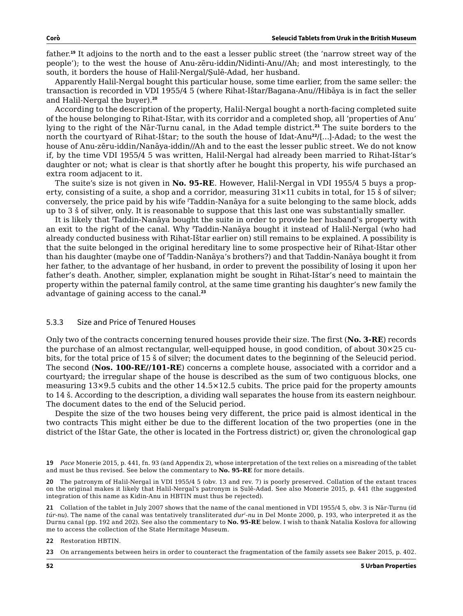father.**<sup>19</sup>** It adjoins to the north and to the east a lesser public street (the 'narrow street way of the people'); to the west the house of Anu-zēru-iddin/Nidinti-Anu//Ah; and most interestingly, to the south, it borders the house of Halil-Nergal/Ṣulē-Adad, her husband.

Apparently Halil-Nergal bought this particular house, some time earlier, from the same seller: the transaction is recorded in VDI 1955/4 5 (where Rihat-Ištar/Bagana-Anu//Hibāya is in fact the seller and Halil-Nergal the buyer).**<sup>20</sup>**

According to the description of the property, Halil-Nergal bought a north-facing completed suite of the house belonging to Rihat-Ištar, with its corridor and a completed shop, all 'properties of Anu' lying to the right of the Nār-Turnu canal, in the Adad temple district.**<sup>21</sup>** The suite borders to the north the courtyard of Rihat-Ištar; to the south the house of Idat-Anu**<sup>22</sup>**/[…]-Adad; to the west the house of Anu-zēru-iddin/Nanāya-iddin//Ah and to the east the lesser public street. We do not know if, by the time VDI 1955/4 5 was written, Halil-Nergal had already been married to Rihat-Ištar's daughter or not; what is clear is that shortly after he bought this property, his wife purchased an extra room adjacent to it.

The suite's size is not given in **No. 95-RE**. However, Halil-Nergal in VDI 1955/4 5 buys a property, consisting of a suite, a shop and a corridor, measuring  $31 \times 11$  cubits in total, for 15 š of silver; conversely, the price paid by his wife f Taddin-Nanāya for a suite belonging to the same block, adds up to 3 š of silver, only. It is reasonable to suppose that this last one was substantially smaller.

It is likely that f Taddin-Nanāya bought the suite in order to provide her husband's property with an exit to the right of the canal. Why f Taddin-Nanāya bought it instead of Halil-Nergal (who had already conducted business with Rihat-Ištar earlier on) still remains to be explained. A possibility is that the suite belonged in the original hereditary line to some prospective heir of Rihat-Ištar other than his daughter (maybe one of f Taddin-Nanāya's brothers?) and that Taddin-Nanāya bought it from her father, to the advantage of her husband, in order to prevent the possibility of losing it upon her father's death. Another, simpler, explanation might be sought in Rihat-Ištar's need to maintain the property within the paternal family control, at the same time granting his daughter's new family the advantage of gaining access to the canal.**<sup>23</sup>**

#### 5.3.3 Size and Price of Tenured Houses

Only two of the contracts concerning tenured houses provide their size. The first (**No. 3-RE**) records the purchase of an almost rectangular, well-equipped house, in good condition, of about 30×25 cubits, for the total price of 15 š of silver; the document dates to the beginning of the Seleucid period. The second (**Nos. 100-RE//101-RE**) concerns a complete house, associated with a corridor and a courtyard; the irregular shape of the house is described as the sum of two contiguous blocks, one measuring  $13\times9.5$  cubits and the other  $14.5\times12.5$  cubits. The price paid for the property amounts to 14 š. According to the description, a dividing wall separates the house from its eastern neighbour. The document dates to the end of the Selucid period.

Despite the size of the two houses being very different, the price paid is almost identical in the two contracts This might either be due to the different location of the two properties (one in the district of the Ištar Gate, the other is located in the Fortress district) or, given the chronological gap

**22** Restoration HBTIN.

**<sup>19</sup>** *Pace* Monerie 2015, p. 441, fn. 93 (and Appendix 2), whose interpretation of the text relies on a misreading of the tablet and must be thus revised. See below the commentary to **No. 95-RE** for more details.

**<sup>20</sup>** The patronym of Halil-Nergal in VDI 1955/4 5 (obv. 13 and rev. 7) is poorly preserved. Collation of the extant traces on the original makes it likely that Halil-Nergal's patronym is Ṣulē-Adad. See also Monerie 2015, p. 441 (the suggested integration of this name as Kidin-Anu in HBTIN must thus be rejected).

**<sup>21</sup>** Collation of the tablet in July 2007 shows that the name of the canal mentioned in VDI 1955/4 5, obv. 3 is Nār-Turnu (íd *túr-nu*). The name of the canal was tentatively transliterated *dur*! *-nu* in Del Monte 2000, p. 193, who interpreted it as the Durnu canal (pp. 192 and 202). See also the commentary to **No. 95-RE** below. I wish to thank Natalia Koslova for allowing me to access the collection of the State Hermitage Museum.

**<sup>23</sup>** On arrangements between heirs in order to counteract the fragmentation of the family assets see Baker 2015, p. 402.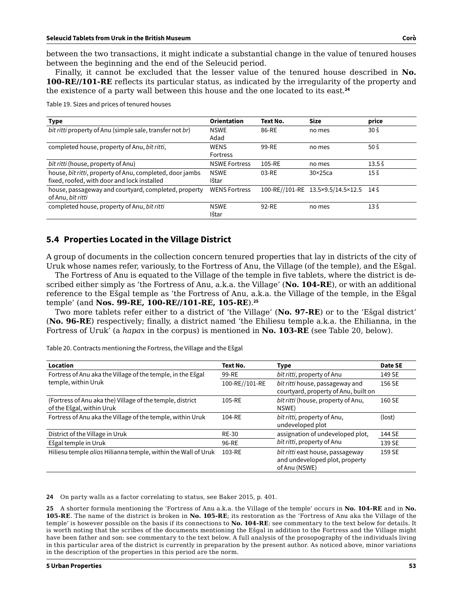between the two transactions, it might indicate a substantial change in the value of tenured houses between the beginning and the end of the Seleucid period.

Finally, it cannot be excluded that the lesser value of the tenured house described in **No. 100-RE//101-RE** reflects its particular status, as indicated by the irregularity of the property and the existence of a party wall between this house and the one located to its east.**<sup>24</sup>**

Table 19. Sizes and prices of tenured houses

| Type                                                                                                    | <b>Orientation</b>             | Text No. | <b>Size</b>                            | price                    |
|---------------------------------------------------------------------------------------------------------|--------------------------------|----------|----------------------------------------|--------------------------|
| bīt ritti property of Anu (simple sale, transfer not br)                                                | <b>NSWE</b><br>Adad            | 86-RE    | no mes                                 | $30\,\mathrm{\check{s}}$ |
| completed house, property of Anu, bit ritti,                                                            | <b>WENS</b><br><b>Fortress</b> | 99-RE    | no mes                                 | $50\,\mathrm{\AA}$       |
| <i>bīt ritti</i> (house, property of Anu)                                                               | <b>NSWE Fortress</b>           | 105-RE   | no mes                                 | 13.5S                    |
| house, bit ritti, property of Anu, completed, door jambs<br>fixed, roofed, with door and lock installed | <b>NSWE</b><br>Ištar           | $03-RE$  | $30\times25$ ca                        | 15 <sub>5</sub>          |
| house, passageway and courtyard, completed, property<br>of Anu, bīt ritti                               | <b>WENS Fortress</b>           |          | 100-RE//101-RE 13.5×9.5/14.5×12.5 14 Š |                          |
| completed house, property of Anu, bīt ritti                                                             | <b>NSWE</b><br>Ištar           | 92-RE    | no mes                                 | 13 <sub>5</sub>          |

## **5.4 Properties Located in the Village District**

A group of documents in the collection concern tenured properties that lay in districts of the city of Uruk whose names refer, variously, to the Fortress of Anu, the Village (of the temple), and the Ešgal.

The Fortress of Anu is equated to the Village of the temple in five tablets, where the district is described either simply as 'the Fortress of Anu, a.k.a. the Village' (**No. 104-RE**), or with an additional reference to the Ešgal temple as 'the Fortress of Anu, a.k.a. the Village of the temple, in the Ešgal temple' (and **Nos. 99-RE, 100-RE//101-RE, 105-RE**).**<sup>25</sup>**

Two more tablets refer either to a district of 'the Village' (**No. 97-RE**) or to the 'Ešgal district' (**No. 96-RE**) respectively; finally, a district named 'the Ehiliesu temple a.k.a. the Ehilianna, in the Fortress of Uruk' (a *hapax* in the corpus) is mentioned in **No. 103-RE** (see Table 20, below).

Table 20. Contracts mentioning the Fortress, the Village and the Ešgal

| Location                                                                               | Text No.       | Type                                                                                | Date SE |
|----------------------------------------------------------------------------------------|----------------|-------------------------------------------------------------------------------------|---------|
| Fortress of Anu aka the Village of the temple, in the Ešgal                            | 99-RE          | <i>bīt ritti</i> , property of Anu                                                  | 149 SE  |
| temple, within Uruk                                                                    | 100-RE//101-RE | bīt ritti house, passageway and<br>courtyard, property of Anu, built on             | 156 SE  |
| (Fortress of Anu aka the) Village of the temple, district<br>of the Ešgal, within Uruk | 105-RE         | bīt ritti (house, property of Anu,<br>NSWE)                                         | 160 SE  |
| Fortress of Anu aka the Village of the temple, within Uruk                             | 104-RE         | bīt ritti, property of Anu,<br>undeveloped plot                                     | (lost)  |
| District of the Village in Uruk                                                        | RE-30          | assignation of undeveloped plot,                                                    | 144 SE  |
| Ešgal temple in Uruk                                                                   | 96-RE          | bīt ritti, property of Anu                                                          | 139 SE  |
| Hiliesu temple alias Hilianna temple, within the Wall of Uruk                          | 103-RE         | bīt ritti east house, passageway<br>and undeveloped plot, property<br>of Anu (NSWE) | 159 SE  |

**24** On party walls as a factor correlating to status, see Baker 2015, p. 401.

**25** A shorter formula mentioning the 'Fortress of Anu a.k.a. the Village of the temple' occurs in **No. 104-RE** and in **No. 105-RE**. The name of the district is broken in **No. 105-RE**; its restoration as the 'Fortress of Anu aka the Village of the temple' is however possible on the basis if its connections to **No. 104-RE**: see commentary to the text below for details. It is worth noting that the scribes of the documents mentioning the Ešgal in addition to the Fortress and the Village might have been father and son: see commentary to the text below. A full analysis of the prosopography of the individuals living in this particular area of the district is currently in preparation by the present author. As noticed above, minor variations in the description of the properties in this period are the norm.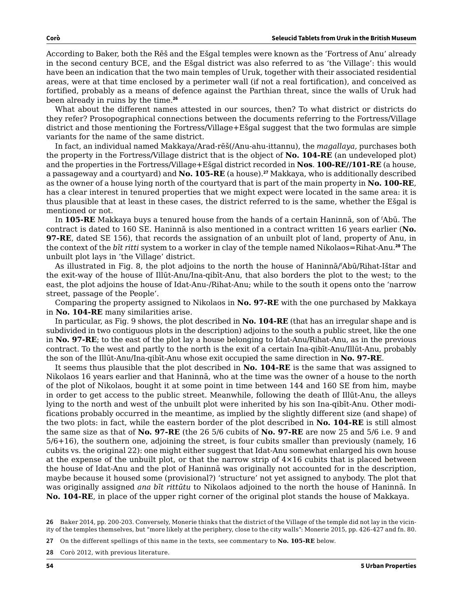According to Baker, both the Rēš and the Ešgal temples were known as the 'Fortress of Anu' already in the second century BCE, and the Ešgal district was also referred to as 'the Village': this would have been an indication that the two main temples of Uruk, together with their associated residential areas, were at that time enclosed by a perimeter wall (if not a real fortification), and conceived as fortified, probably as a means of defence against the Parthian threat, since the walls of Uruk had been already in ruins by the time.**<sup>26</sup>**

What about the different names attested in our sources, then? To what district or districts do they refer? Prosopographical connections between the documents referring to the Fortress/Village district and those mentioning the Fortress/Village+Ešgal suggest that the two formulas are simple variants for the name of the same district.

In fact, an individual named Makkaya/Arad-rēš(/Anu-ahu-ittannu), the *magallaya,* purchases both the property in the Fortress/Village district that is the object of **No. 104-RE** (an undeveloped plot) and the properties in the Fortress/Village+Ešgal district recorded in **Nos**. **100-RE//101-RE** (a house, a passageway and a courtyard) and **No. 105-RE** (a house).**<sup>27</sup>** Makkaya, who is additionally described as the owner of a house lying north of the courtyard that is part of the main property in **No. 100-RE**, has a clear interest in tenured properties that we might expect were located in the same area: it is thus plausible that at least in these cases, the district referred to is the same, whether the Ešgal is mentioned or not.

In **105-RE** Makkaya buys a tenured house from the hands of a certain Haninnā, son of <sup>f</sup> Abū. The contract is dated to 160 SE. Haninnā is also mentioned in a contract written 16 years earlier (**No. 97-RE**, dated SE 156), that records the assignation of an unbuilt plot of land, property of Anu, in the context of the *bīt ritti* system to a worker in clay of the temple named Nikolaos=Rihat-Anu.**<sup>28</sup>** The unbuilt plot lays in 'the Village' district.

As illustrated in Fig. 8, the plot adjoins to the north the house of Haninnā/<sup>f</sup> Abū/Rihat-Ištar and the exit-way of the house of Illūt-Anu/Ina-qibīt-Anu, that also borders the plot to the west; to the east, the plot adjoins the house of Idat-Anu-/Rihat-Anu; while to the south it opens onto the 'narrow street, passage of the People'.

Comparing the property assigned to Nikolaos in **No. 97-RE** with the one purchased by Makkaya in **No. 104-RE** many similarities arise.

In particular, as Fig. 9 shows, the plot described in **No. 104-RE** (that has an irregular shape and is subdivided in two contiguous plots in the description) adjoins to the south a public street, like the one in **No. 97-RE**; to the east of the plot lay a house belonging to Idat-Anu/Rihat-Anu, as in the previous contract. To the west and partly to the north is the exit of a certain Ina-qibīt-Anu/Illūt-Anu, probably the son of the Illūt-Anu/Ina-qibīt-Anu whose exit occupied the same direction in **No. 97-RE**.

It seems thus plausible that the plot described in **No. 104-RE** is the same that was assigned to Nikolaos 16 years earlier and that Haninnā, who at the time was the owner of a house to the north of the plot of Nikolaos, bought it at some point in time between 144 and 160 SE from him, maybe in order to get access to the public street. Meanwhile, following the death of Illūt-Anu, the alleys lying to the north and west of the unbuilt plot were inherited by his son Ina-qibīt-Anu. Other modifications probably occurred in the meantime, as implied by the slightly different size (and shape) of the two plots: in fact, while the eastern border of the plot described in **No. 104-RE** is still almost the same size as that of **No. 97-RE** (the 26 5/6 cubits of **No. 97-RE** are now 25 and 5/6 i.e. 9 and 5/6+16), the southern one, adjoining the street, is four cubits smaller than previously (namely, 16 cubits vs. the original 22): one might either suggest that Idat-Anu somewhat enlarged his own house at the expense of the unbuilt plot, or that the narrow strip of  $4 \times 16$  cubits that is placed between the house of Idat-Anu and the plot of Haninnā was originally not accounted for in the description, maybe because it housed some (provisional?) 'structure' not yet assigned to anybody. The plot that was originally assigned *ana bīt rittūtu* to Nikolaos adjoined to the north the house of Haninnā. In **No. 104-RE**, in place of the upper right corner of the original plot stands the house of Makkaya.

**<sup>26</sup>** Baker 2014, pp. 200-203. Conversely, Monerie thinks that the district of the Village of the temple did not lay in the vicinity of the temples themselves, but "more likely at the periphery, close to the city walls": Monerie 2015, pp. 426-427 and fn. 80.

**<sup>27</sup>** On the different spellings of this name in the texts, see commentary to **No. 105-RE** below.

**<sup>28</sup>** Corò 2012, with previous literature.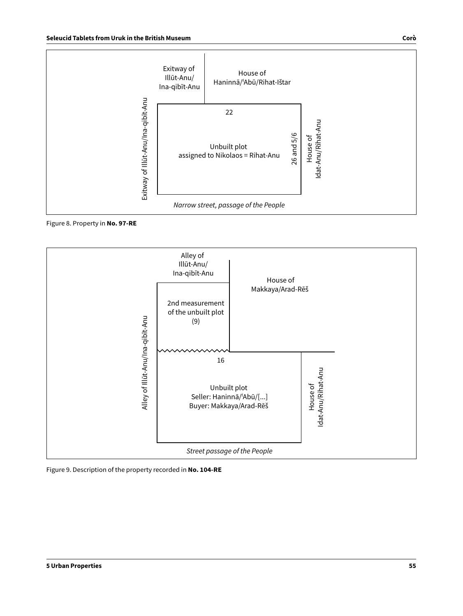

Figure 8. Property in **No. 97-RE**



Figure 9. Description of the property recorded in **No. 104-RE**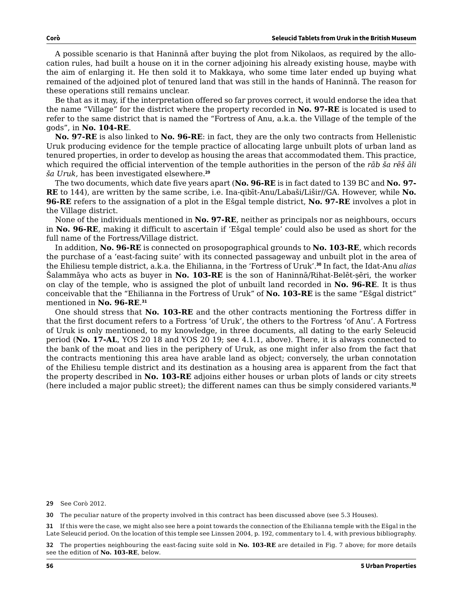A possible scenario is that Haninnā after buying the plot from Nikolaos, as required by the allocation rules, had built a house on it in the corner adjoining his already existing house, maybe with the aim of enlarging it. He then sold it to Makkaya, who some time later ended up buying what remained of the adjoined plot of tenured land that was still in the hands of Haninnā. The reason for these operations still remains unclear.

Be that as it may, if the interpretation offered so far proves correct, it would endorse the idea that the name "Village" for the district where the property recorded in **No. 97-RE** is located is used to refer to the same district that is named the "Fortress of Anu, a.k.a. the Village of the temple of the gods", in **No. 104-RE**.

**No. 97-RE** is also linked to **No. 96-RE**: in fact, they are the only two contracts from Hellenistic Uruk producing evidence for the temple practice of allocating large unbuilt plots of urban land as tenured properties, in order to develop as housing the areas that accommodated them. This practice, which required the official intervention of the temple authorities in the person of the *rāb ša rēš āli ša Uruk*, has been investigated elsewhere.**<sup>29</sup>**

The two documents, which date five years apart (**No. 96-RE** is in fact dated to 139 BC and **No. 97- RE** to 144), are written by the same scribe, i.e. Ina-qibīt-Anu/Labaši/Lišir//GA. However, while **No. 96-RE** refers to the assignation of a plot in the Ešgal temple district, **No. 97-RE** involves a plot in the Village district.

None of the individuals mentioned in **No. 97-RE**, neither as principals nor as neighbours, occurs in **No. 96-RE**, making it difficult to ascertain if 'Ešgal temple' could also be used as short for the full name of the Fortress/Village district.

In addition, **No. 96-RE** is connected on prosopographical grounds to **No. 103-RE**, which records the purchase of a 'east-facing suite' with its connected passageway and unbuilt plot in the area of the Ehiliesu temple district, a.k.a. the Ehilianna, in the 'Fortress of Uruk'.**<sup>30</sup>** In fact, the Idat-Anu *alias* Šalammāya who acts as buyer in **No. 103-RE** is the son of Haninnā/Rihat-Belēt-ṣēri, the worker on clay of the temple, who is assigned the plot of unbuilt land recorded in **No. 96-RE**. It is thus conceivable that the "Ehilianna in the Fortress of Uruk" of **No. 103-RE** is the same "Ešgal district" mentioned in **No. 96-RE**. **31**

One should stress that **No. 103-RE** and the other contracts mentioning the Fortress differ in that the first document refers to a Fortress 'of Uruk', the others to the Fortress 'of Anu'. A Fortress of Uruk is only mentioned, to my knowledge, in three documents, all dating to the early Seleucid period (**No. 17-AL**, YOS 20 18 and YOS 20 19; see 4.1.1, above). There, it is always connected to the bank of the moat and lies in the periphery of Uruk, as one might infer also from the fact that the contracts mentioning this area have arable land as object; conversely, the urban connotation of the Ehiliesu temple district and its destination as a housing area is apparent from the fact that the property described in **No. 103-RE** adjoins either houses or urban plots of lands or city streets (here included a major public street); the different names can thus be simply considered variants.**<sup>32</sup>**

**30** The peculiar nature of the property involved in this contract has been discussed above (see 5.3 Houses).

**31** If this were the case, we might also see here a point towards the connection of the Ehilianna temple with the Ešgal in the Late Seleucid period. On the location of this temple see Linssen 2004, p. 192, commentary to l. 4, with previous bibliography.

**<sup>29</sup>** See Corò 2012.

**<sup>32</sup>** The properties neighbouring the east-facing suite sold in **No. 103-RE** are detailed in Fig. 7 above; for more details see the edition of **No. 103-RE**, below.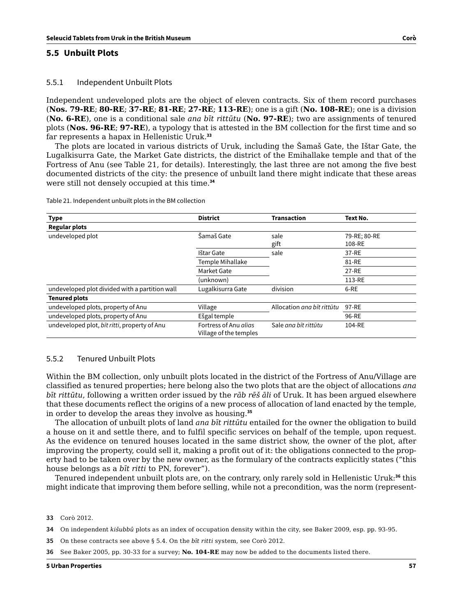## **5.5 Unbuilt Plots**

#### 5.5.1 Independent Unbuilt Plots

Independent undeveloped plots are the object of eleven contracts. Six of them record purchases (**Nos. 79-RE**; **80-RE**; **37-RE**; **81-RE**; **27-RE**; **113-RE**); one is a gift (**No. 108-RE**); one is a division (**No. 6-RE**), one is a conditional sale *ana bīt rittūtu* (**No. 97-RE**); two are assignments of tenured plots (**Nos. 96-RE**; **97-RE**), a typology that is attested in the BM collection for the first time and so far represents a hapax in Hellenistic Uruk.**<sup>33</sup>**

The plots are located in various districts of Uruk, including the Šamaš Gate, the Ištar Gate, the Lugalkisurra Gate, the Market Gate districts, the district of the Emihallake temple and that of the Fortress of Anu (see Table 21, for details). Interestingly, the last three are not among the five best documented districts of the city: the presence of unbuilt land there might indicate that these areas were still not densely occupied at this time.**<sup>34</sup>**

Table 21. Independent unbuilt plots in the BM collection

| <b>Type</b>                                    | <b>District</b>                                 | <b>Transaction</b>         | Text No.     |
|------------------------------------------------|-------------------------------------------------|----------------------------|--------------|
| <b>Regular plots</b>                           |                                                 |                            |              |
| undeveloped plot                               | Šamaš Gate                                      | sale                       | 79-RE; 80-RE |
|                                                |                                                 | gift                       | 108-RE       |
|                                                | Ištar Gate                                      | sale                       | 37-RE        |
|                                                | Temple Mihallake                                |                            | 81-RE        |
|                                                | Market Gate                                     |                            | 27-RE        |
|                                                | (unknown)                                       |                            | 113-RE       |
| undeveloped plot divided with a partition wall | Lugalkisurra Gate                               | division                   | 6-RE         |
| <b>Tenured plots</b>                           |                                                 |                            |              |
| undeveloped plots, property of Anu             | Village                                         | Allocation ang bīt rittūtu | 97-RE        |
| undeveloped plots, property of Anu             | Ešgal temple                                    |                            | 96-RE        |
| undeveloped plot, bit ritti, property of Anu   | Fortress of Anu alias<br>Village of the temples | Sale ana bīt rittūtu       | 104-RE       |

#### 5.5.2 Tenured Unbuilt Plots

Within the BM collection, only unbuilt plots located in the district of the Fortress of Anu/Village are classified as tenured properties; here belong also the two plots that are the object of allocations *ana bīt rittūtu*, following a written order issued by the *rāb rēš āli* of Uruk. It has been argued elsewhere that these documents reflect the origins of a new process of allocation of land enacted by the temple, in order to develop the areas they involve as housing.**<sup>35</sup>**

The allocation of unbuilt plots of land *ana bīt rittūtu* entailed for the owner the obligation to build a house on it and settle there, and to fulfil specific services on behalf of the temple, upon request. As the evidence on tenured houses located in the same district show, the owner of the plot, after improving the property, could sell it, making a profit out of it: the obligations connected to the property had to be taken over by the new owner, as the formulary of the contracts explicitly states ("this house belongs as a *bīt ritti* to PN, forever").

Tenured independent unbuilt plots are, on the contrary, only rarely sold in Hellenistic Uruk:**<sup>36</sup>** this might indicate that improving them before selling, while not a precondition, was the norm (represent-

**35** On these contracts see above § 5.4. On the *bīt ritti* system, see Corò 2012.

**36** See Baker 2005, pp. 30-33 for a survey; **No. 104-RE** may now be added to the documents listed there.

**<sup>33</sup>** Corò 2012.

**<sup>34</sup>** On independent *kišubbû* plots as an index of occupation density within the city, see Baker 2009, esp. pp. 93-95.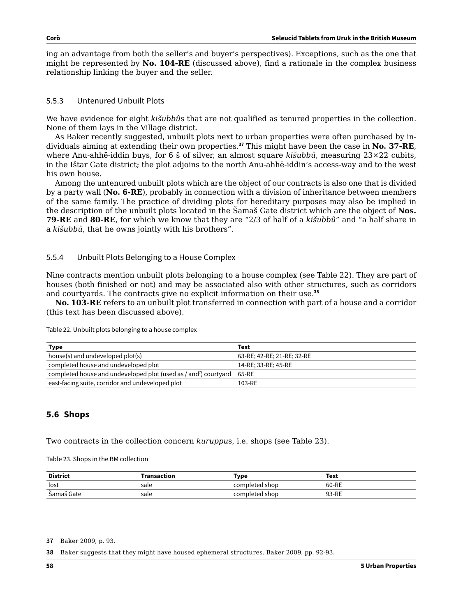ing an advantage from both the seller's and buyer's perspectives). Exceptions, such as the one that might be represented by **No. 104-RE** (discussed above), find a rationale in the complex business relationship linking the buyer and the seller.

### 5.5.3 Untenured Unbuilt Plots

We have evidence for eight *kišubbû*s that are not qualified as tenured properties in the collection. None of them lays in the Village district.

As Baker recently suggested, unbuilt plots next to urban properties were often purchased by individuals aiming at extending their own properties.**<sup>37</sup>** This might have been the case in **No. 37-RE**, where Anu-ahhē-iddin buys, for 6 š of silver, an almost square *kišubbû*, measuring 23×22 cubits, in the Ištar Gate district; the plot adjoins to the north Anu-ahhē-iddin's access-way and to the west his own house.

Among the untenured unbuilt plots which are the object of our contracts is also one that is divided by a party wall (**No. 6-RE**), probably in connection with a division of inheritance between members of the same family. The practice of dividing plots for hereditary purposes may also be implied in the description of the unbuilt plots located in the Šamaš Gate district which are the object of **Nos. 79-RE** and **80-RE**, for which we know that they are "2/3 of half of a *kišubbû*" and "a half share in a *kišubbû*, that he owns jointly with his brothers".

## 5.5.4 Unbuilt Plots Belonging to a House Complex

Nine contracts mention unbuilt plots belonging to a house complex (see Table 22). They are part of houses (both finished or not) and may be associated also with other structures, such as corridors and courtyards. The contracts give no explicit information on their use.**<sup>38</sup>**

**No. 103-RE** refers to an unbuilt plot transferred in connection with part of a house and a corridor (this text has been discussed above).

| <b>Type</b>                                                     | Text                       |
|-----------------------------------------------------------------|----------------------------|
| house(s) and undeveloped plot(s)                                | 63-RE; 42-RE; 21-RE; 32-RE |
| completed house and undeveloped plot                            | 14-RE: 33-RE: 45-RE        |
| completed house and undeveloped plot (used as / and?) courtyard | 65-RE                      |
| east-facing suite, corridor and undeveloped plot                | 103-RE                     |

Table 22. Unbuilt plots belonging to a house complex

# **5.6 Shops**

Two contracts in the collection concern *kuruppu*s, i.e. shops (see Table 23).

Table 23. Shops in the BM collection

| <b>District</b>           | Transaction | Type           | Text  |
|---------------------------|-------------|----------------|-------|
| lost                      | sale        | completed shop | 60-RE |
| $\tilde{ }$<br>Samaš Gate | sale        | completed shop | 93-RE |

**<sup>37</sup>** Baker 2009, p. 93.

**<sup>38</sup>** Baker suggests that they might have housed ephemeral structures. Baker 2009, pp. 92-93.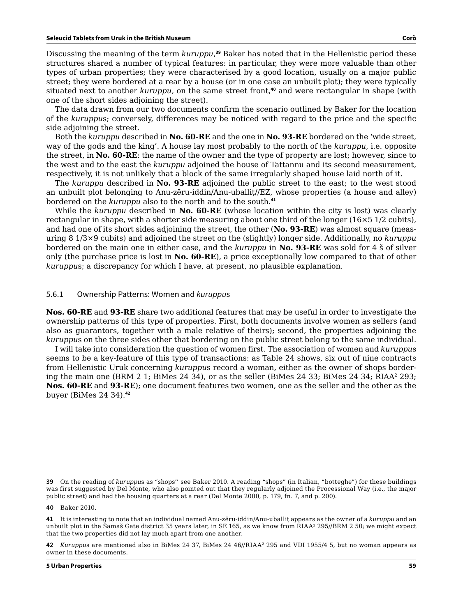Discussing the meaning of the term *kuruppu*, **<sup>39</sup>** Baker has noted that in the Hellenistic period these structures shared a number of typical features: in particular, they were more valuable than other types of urban properties; they were characterised by a good location, usually on a major public street; they were bordered at a rear by a house (or in one case an unbuilt plot); they were typically situated next to another *kuruppu*, on the same street front,**<sup>40</sup>** and were rectangular in shape (with one of the short sides adjoining the street).

The data drawn from our two documents confirm the scenario outlined by Baker for the location of the *kuruppu*s; conversely, differences may be noticed with regard to the price and the specific side adjoining the street.

Both the *kuruppu* described in **No. 60-RE** and the one in **No. 93-RE** bordered on the 'wide street, way of the gods and the king'. A house lay most probably to the north of the *kuruppu*, i.e. opposite the street, in **No. 60-RE**: the name of the owner and the type of property are lost; however, since to the west and to the east the *kuruppu* adjoined the house of Tattannu and its second measurement, respectively, it is not unlikely that a block of the same irregularly shaped house laid north of it.

The *kuruppu* described in **No. 93-RE** adjoined the public street to the east; to the west stood an unbuilt plot belonging to Anu-zēru-iddin/Anu-uballiṭ//EZ, whose properties (a house and alley) bordered on the *kuruppu* also to the north and to the south.**<sup>41</sup>**

While the *kuruppu* described in **No. 60-RE** (whose location within the city is lost) was clearly rectangular in shape, with a shorter side measuring about one third of the longer (16×5 1/2 cubits), and had one of its short sides adjoining the street, the other (**No. 93-RE**) was almost square (measuring 8 1/3×9 cubits) and adjoined the street on the (slightly) longer side. Additionally, no *kuruppu* bordered on the main one in either case, and the *kuruppu* in **No. 93-RE** was sold for 4 š of silver only (the purchase price is lost in **No. 60-RE**), a price exceptionally low compared to that of other *kuruppu*s; a discrepancy for which I have, at present, no plausible explanation.

#### 5.6.1 Ownership Patterns: Women and *kuruppu*s

**Nos. 60-RE** and **93-RE** share two additional features that may be useful in order to investigate the ownership patterns of this type of properties. First, both documents involve women as sellers (and also as guarantors, together with a male relative of theirs); second, the properties adjoining the *kuruppu*s on the three sides other that bordering on the public street belong to the same individual.

I will take into consideration the question of women first. The association of women and *kuruppu*s seems to be a key-feature of this type of transactions: as Table 24 shows, six out of nine contracts from Hellenistic Uruk concerning *kuruppu*s record a woman, either as the owner of shops bordering the main one (BRM 2 1; BiMes 24 34), or as the seller (BiMes 24 33; BiMes 24 34; RIAA<sup>2</sup> 293; **Nos. 60-RE** and **93-RE**); one document features two women, one as the seller and the other as the buyer (BiMes 24 34).**<sup>42</sup>**

**40** Baker 2010.

**41** It is interesting to note that an individual named Anu-zēru-iddin/Anu-uballiṭ appears as the owner of a *kuruppu* and an unbuilt plot in the Šamaš Gate district 35 years later, in SE 165, as we know from RIAA<sup>2</sup> 295//BRM 2 50; we might expect that the two properties did not lay much apart from one another.

**<sup>39</sup>** On the reading of *kuruppu*s as "shops'' see Baker 2010. A reading "shops" (in Italian, "botteghe") for these buildings was first suggested by Del Monte, who also pointed out that they regularly adjoined the Processional Way (i.e., the major public street) and had the housing quarters at a rear (Del Monte 2000, p. 179, fn. 7, and p. 200).

**<sup>42</sup>** *Kuruppu*s are mentioned also in BiMes 24 37, BiMes 24 46//RIAA2 295 and VDI 1955/4 5, but no woman appears as owner in these documents.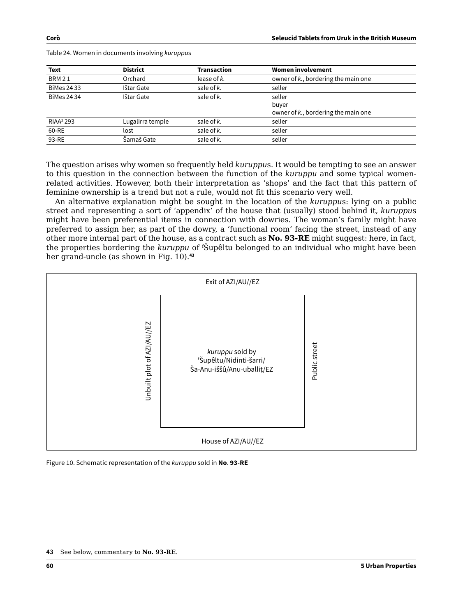| $\sim$ |  |  |
|--------|--|--|
|        |  |  |

| Text                  | <b>District</b>  | <b>Transaction</b> | <b>Women involvement</b>            |
|-----------------------|------------------|--------------------|-------------------------------------|
| <b>BRM 21</b>         | Orchard          | lease of $k$ .     | owner of k., bordering the main one |
| <b>BiMes 2433</b>     | Ištar Gate       | sale of k.         | seller                              |
| <b>BiMes 24 34</b>    | Ištar Gate       | sale of k.         | seller                              |
|                       |                  |                    | buyer                               |
|                       |                  |                    | owner of k., bordering the main one |
| RIAA <sup>2</sup> 293 | Lugalirra temple | sale of k.         | seller                              |
| 60-RE                 | lost             | sale of $k$ .      | seller                              |
| 93-RE                 | Šamaš Gate       | sale of k.         | seller                              |

Table 24. Women in documents involving *kuruppu*s

The question arises why women so frequently held *kuruppu*s. It would be tempting to see an answer to this question in the connection between the function of the *kuruppu* and some typical womenrelated activities. However, both their interpretation as 'shops' and the fact that this pattern of feminine ownership is a trend but not a rule, would not fit this scenario very well.

An alternative explanation might be sought in the location of the *kuruppu*s: lying on a public street and representing a sort of 'appendix' of the house that (usually) stood behind it, *kuruppu*s might have been preferential items in connection with dowries. The woman's family might have preferred to assign her, as part of the dowry, a 'functional room' facing the street, instead of any other more internal part of the house, as a contract such as **No. 93-RE** might suggest: here, in fact, the properties bordering the *kuruppu* of f Šupêltu belonged to an individual who might have been her grand-uncle (as shown in Fig. 10).**<sup>43</sup>**